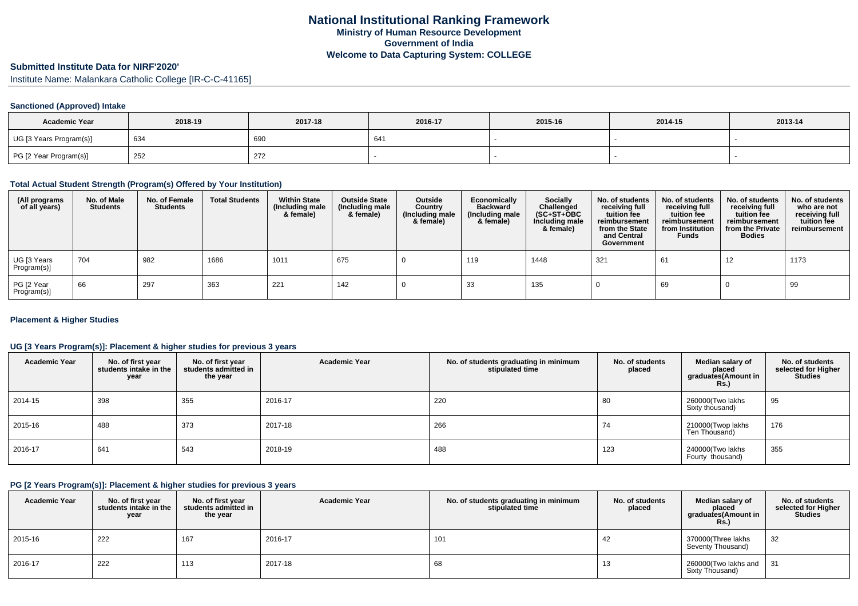# **Submitted Institute Data for NIRF'2020'**

Institute Name: Malankara Catholic College [IR-C-C-41165]

### **Sanctioned (Approved) Intake**

| <b>Academic Year</b>    | 2018-19 | 2017-18 | 2016-17             | 2015-16 | 2014-15 | 2013-14 |
|-------------------------|---------|---------|---------------------|---------|---------|---------|
| UG [3 Years Program(s)] | 634     | 690     | $\sim$ $\sim$<br>O4 |         |         |         |
| PG [2 Year Program(s)]  | 252     | 272     |                     |         |         |         |

### **Total Actual Student Strength (Program(s) Offered by Your Institution)**

| (All programs<br>of all years) | No. of Male<br><b>Students</b> | No. of Female<br><b>Students</b> | <b>Total Students</b> | <b>Within State</b><br>(Including male<br>& female) | <b>Outside State</b><br>(Including male<br>& female) | Outside<br>Country<br>(Including male<br>& female) | Economically<br><b>Backward</b><br>(Including male<br>& female) | <b>Socially</b><br>Challenged<br>$(SC+ST+OBC)$<br>Including male<br>& female) | No. of students<br>receiving full<br>tuition fee<br>reimbursement<br>from the State<br>and Central<br>Government | No. of students<br>receiving full<br>tuition fee<br>reimbursement<br>from Institution<br><b>Funds</b> | No. of students<br>receiving full<br>tuition fee<br>reimbursement<br>from the Private<br><b>Bodies</b> | No. of students<br>who are not<br>receiving full<br>tuition fee<br>reimbursement |
|--------------------------------|--------------------------------|----------------------------------|-----------------------|-----------------------------------------------------|------------------------------------------------------|----------------------------------------------------|-----------------------------------------------------------------|-------------------------------------------------------------------------------|------------------------------------------------------------------------------------------------------------------|-------------------------------------------------------------------------------------------------------|--------------------------------------------------------------------------------------------------------|----------------------------------------------------------------------------------|
| UG [3 Years<br>Program(s)]     | 704                            | 982                              | 1686                  | 1011                                                | 675                                                  |                                                    | 119                                                             | 1448                                                                          | 321                                                                                                              | 61                                                                                                    | 12                                                                                                     | 1173                                                                             |
| PG [2 Year<br>Program(s)]      | 66                             | 297                              | 363                   | 221                                                 | 142                                                  |                                                    | -33                                                             | 135                                                                           |                                                                                                                  | 69                                                                                                    |                                                                                                        | 99                                                                               |

### **Placement & Higher Studies**

### **UG [3 Years Program(s)]: Placement & higher studies for previous 3 years**

| <b>Academic Year</b> | No. of first year<br>students intake in the<br>year | No. of first year<br>students admitted in<br>the year | <b>Academic Year</b> | No. of students graduating in minimum<br>stipulated time | No. of students<br>placed | Median salary of<br>placed<br>graduates(Amount in<br><b>Rs.)</b> | No. of students<br>selected for Higher<br><b>Studies</b> |
|----------------------|-----------------------------------------------------|-------------------------------------------------------|----------------------|----------------------------------------------------------|---------------------------|------------------------------------------------------------------|----------------------------------------------------------|
| 2014-15              | 398                                                 | 355                                                   | 2016-17              | 220                                                      | 80                        | 260000(Two lakhs<br>Sixty thousand)                              | 95                                                       |
| 2015-16              | 488                                                 | 373                                                   | 2017-18              | 266                                                      | 74                        | 210000(Twop lakhs<br>Ten Thousand)                               | 176                                                      |
| 2016-17              | 641                                                 | 543                                                   | 2018-19              | 488                                                      | 123                       | 240000(Two lakhs<br>Fourty thousand)                             | 355                                                      |

### **PG [2 Years Program(s)]: Placement & higher studies for previous 3 years**

| <b>Academic Year</b> | No. of first year<br>students intake in the<br>year | No. of first vear<br>students admitted in<br>the year | <b>Academic Year</b> | No. of students graduating in minimum<br>stipulated time | No. of students<br>placed | Median salary of<br>placed<br>graduates(Amount in<br>Rs.) | No. of students<br>selected for Higher<br><b>Studies</b> |
|----------------------|-----------------------------------------------------|-------------------------------------------------------|----------------------|----------------------------------------------------------|---------------------------|-----------------------------------------------------------|----------------------------------------------------------|
| 2015-16              | 222                                                 | 167                                                   | 2016-17              | 101                                                      | 42                        | 370000(Three lakhs<br>Seventy Thousand)                   | 32                                                       |
| $12016 - 17$         | 222                                                 | 113                                                   | 2017-18              | 68                                                       | 13                        | 260000(Two lakhs and  <br>Sixty Thousand)                 | -31                                                      |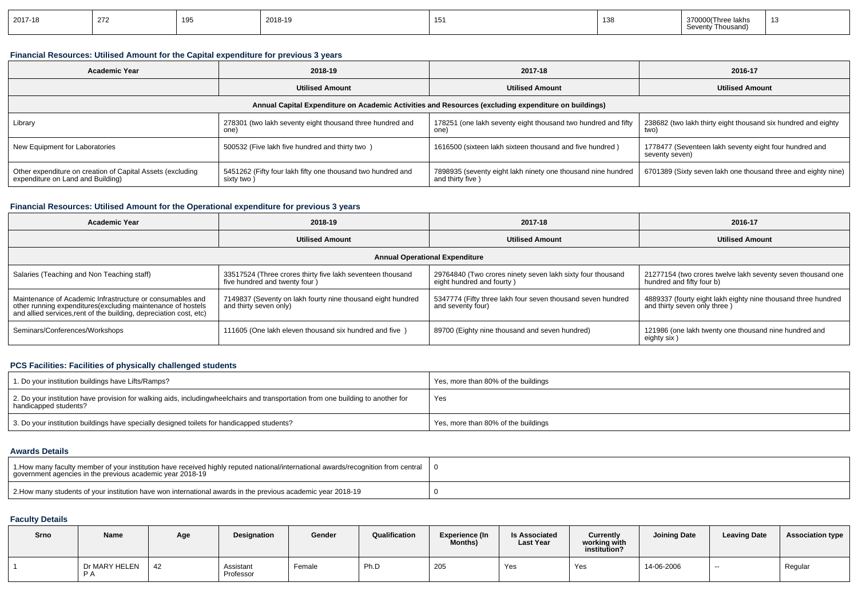| 2017-18 | 272 | $\overline{a}$<br>ັບ | 2018-19 | 151 | $\overline{A}$<br> | Thousand'<br>$\sim$ | $\overline{A}$<br>. |
|---------|-----|----------------------|---------|-----|--------------------|---------------------|---------------------|
|---------|-----|----------------------|---------|-----|--------------------|---------------------|---------------------|

#### **Financial Resources: Utilised Amount for the Capital expenditure for previous 3 years**

| <b>Academic Year</b>                                                                                 | 2018-19                                                                   | 2017-18                                                                          | 2016-17                                                                  |  |  |  |  |  |  |  |  |  |
|------------------------------------------------------------------------------------------------------|---------------------------------------------------------------------------|----------------------------------------------------------------------------------|--------------------------------------------------------------------------|--|--|--|--|--|--|--|--|--|
|                                                                                                      | <b>Utilised Amount</b>                                                    | <b>Utilised Amount</b>                                                           | <b>Utilised Amount</b>                                                   |  |  |  |  |  |  |  |  |  |
| Annual Capital Expenditure on Academic Activities and Resources (excluding expenditure on buildings) |                                                                           |                                                                                  |                                                                          |  |  |  |  |  |  |  |  |  |
| Library                                                                                              | 278301 (two lakh seventy eight thousand three hundred and<br>one)         | 178251 (one lakh seventy eight thousand two hundred and fifty<br>one)            | 238682 (two lakh thirty eight thousand six hundred and eighty<br>two)    |  |  |  |  |  |  |  |  |  |
| New Equipment for Laboratories                                                                       | 500532 (Five lakh five hundred and thirty two)                            | 1616500 (sixteen lakh sixteen thousand and five hundred)                         | 1778477 (Seventeen lakh seventy eight four hundred and<br>seventy seven) |  |  |  |  |  |  |  |  |  |
| Other expenditure on creation of Capital Assets (excluding<br>expenditure on Land and Building)      | 5451262 (Fifty four lakh fifty one thousand two hundred and<br>sixty two) | 7898935 (seventy eight lakh ninety one thousand nine hundred<br>and thirty five) | 6701389 (Sixty seven lakh one thousand three and eighty nine)            |  |  |  |  |  |  |  |  |  |

### **Financial Resources: Utilised Amount for the Operational expenditure for previous 3 years**

| <b>Academic Year</b>                                                                                                                                                                            | 2018-19                                                                                     | 2017-18                                                                                 | 2016-17                                                                                       |  |  |  |  |  |  |  |  |
|-------------------------------------------------------------------------------------------------------------------------------------------------------------------------------------------------|---------------------------------------------------------------------------------------------|-----------------------------------------------------------------------------------------|-----------------------------------------------------------------------------------------------|--|--|--|--|--|--|--|--|
|                                                                                                                                                                                                 | <b>Utilised Amount</b>                                                                      | <b>Utilised Amount</b>                                                                  | <b>Utilised Amount</b>                                                                        |  |  |  |  |  |  |  |  |
| <b>Annual Operational Expenditure</b>                                                                                                                                                           |                                                                                             |                                                                                         |                                                                                               |  |  |  |  |  |  |  |  |
| Salaries (Teaching and Non Teaching staff)                                                                                                                                                      | 33517524 (Three crores thirty five lakh seventeen thousand<br>five hundred and twenty four) | 29764840 (Two crores ninety seven lakh sixty four thousand<br>eight hundred and fourty) | 21277154 (two crores twelve lakh seventy seven thousand one<br>hundred and fifty four b)      |  |  |  |  |  |  |  |  |
| Maintenance of Academic Infrastructure or consumables and<br>other running expenditures (excluding maintenance of hostels<br>and allied services, rent of the building, depreciation cost, etc) | 7149837 (Seventy on lakh fourty nine thousand eight hundred<br>and thirty seven only)       | 5347774 (Fifty three lakh four seven thousand seven hundred<br>and seventy four)        | 4889337 (fourty eight lakh eighty nine thousand three hundred<br>and thirty seven only three) |  |  |  |  |  |  |  |  |
| Seminars/Conferences/Workshops                                                                                                                                                                  | 111605 (One lakh eleven thousand six hundred and five)                                      | 89700 (Eighty nine thousand and seven hundred)                                          | 121986 (one lakh twenty one thousand nine hundred and<br>eighty six)                          |  |  |  |  |  |  |  |  |

#### **PCS Facilities: Facilities of physically challenged students**

| 1. Do your institution buildings have Lifts/Ramps?                                                                                                              | Yes, more than 80% of the buildings |
|-----------------------------------------------------------------------------------------------------------------------------------------------------------------|-------------------------------------|
| $\pm$ 2. Do your institution have provision for walking aids, includingwheelchairs and transportation from one building to another for<br>handicapped students? | Yes                                 |
| 3. Do your institution buildings have specially designed toilets for handicapped students?                                                                      | Yes, more than 80% of the buildings |

#### **Awards Details**

| 1. Allow many faculty member of your institution have received highly reputed national/international awards/recognition from central  <br>government agencies in the previous academic year 2018-19 |  |
|-----------------------------------------------------------------------------------------------------------------------------------------------------------------------------------------------------|--|
| 2. How many students of your institution have won international awards in the previous academic year 2018-19                                                                                        |  |

## **Faculty Details**

| Srno | Name               | Age | Designation            | Gender | Qualification | <b>Experience (In</b><br>Months) | <b>Is Associated</b><br><b>Last Year</b> | Currently<br>working with<br>institution? | <b>Joining Date</b> | <b>Leaving Date</b>      | <b>Association type</b> |
|------|--------------------|-----|------------------------|--------|---------------|----------------------------------|------------------------------------------|-------------------------------------------|---------------------|--------------------------|-------------------------|
|      | Dr MARY HELEN<br>D | 42  | Assistant<br>Professor | Female | Ph.D          | 205                              | Yes                                      | Yes                                       | 14-06-2006          | $\overline{\phantom{a}}$ | Regular                 |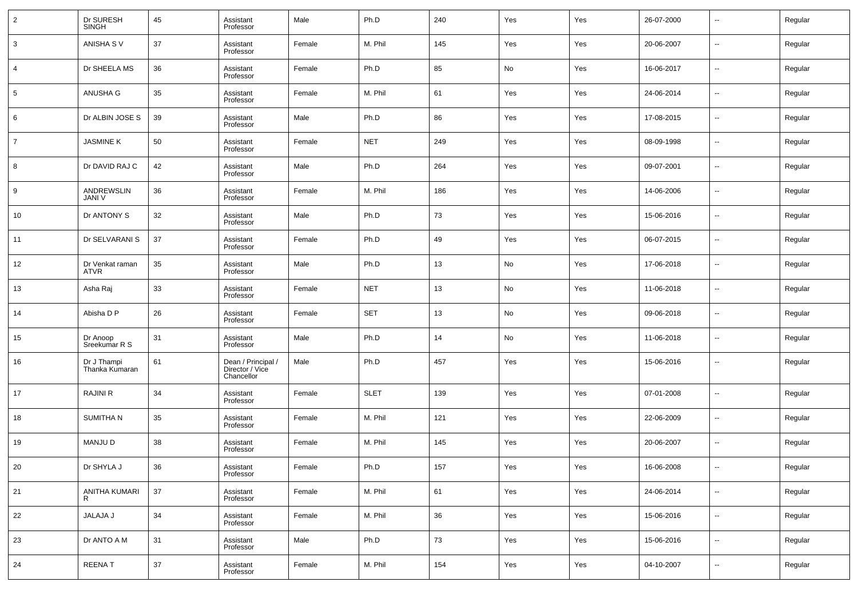| $\overline{2}$ | Dr SURESH<br><b>SINGH</b>      | 45     | Assistant<br>Professor                              | Male   | Ph.D        | 240 | Yes | Yes | 26-07-2000 | $\overline{\phantom{a}}$ | Regular |
|----------------|--------------------------------|--------|-----------------------------------------------------|--------|-------------|-----|-----|-----|------------|--------------------------|---------|
| 3              | ANISHA SV                      | 37     | Assistant<br>Professor                              | Female | M. Phil     | 145 | Yes | Yes | 20-06-2007 | $\overline{\phantom{a}}$ | Regular |
| $\overline{4}$ | Dr SHEELA MS                   | 36     | Assistant<br>Professor                              | Female | Ph.D        | 85  | No  | Yes | 16-06-2017 | $\overline{\phantom{a}}$ | Regular |
| 5              | ANUSHA G                       | 35     | Assistant<br>Professor                              | Female | M. Phil     | 61  | Yes | Yes | 24-06-2014 | $\overline{\phantom{a}}$ | Regular |
| 6              | Dr ALBIN JOSE S                | 39     | Assistant<br>Professor                              | Male   | Ph.D        | 86  | Yes | Yes | 17-08-2015 | $\overline{\phantom{a}}$ | Regular |
| $\overline{7}$ | <b>JASMINE K</b>               | 50     | Assistant<br>Professor                              | Female | <b>NET</b>  | 249 | Yes | Yes | 08-09-1998 | $\overline{\phantom{a}}$ | Regular |
| 8              | Dr DAVID RAJ C                 | 42     | Assistant<br>Professor                              | Male   | Ph.D        | 264 | Yes | Yes | 09-07-2001 | $\overline{\phantom{a}}$ | Regular |
| 9              | ANDREWSLIN<br><b>JANI V</b>    | 36     | Assistant<br>Professor                              | Female | M. Phil     | 186 | Yes | Yes | 14-06-2006 | $\overline{\phantom{a}}$ | Regular |
| 10             | Dr ANTONY S                    | 32     | Assistant<br>Professor                              | Male   | Ph.D        | 73  | Yes | Yes | 15-06-2016 | $\overline{\phantom{a}}$ | Regular |
| 11             | Dr SELVARANI S                 | 37     | Assistant<br>Professor                              | Female | Ph.D        | 49  | Yes | Yes | 06-07-2015 | $\overline{\phantom{a}}$ | Regular |
| 12             | Dr Venkat raman<br><b>ATVR</b> | 35     | Assistant<br>Professor                              | Male   | Ph.D        | 13  | No  | Yes | 17-06-2018 | $\overline{\phantom{a}}$ | Regular |
| 13             | Asha Raj                       | 33     | Assistant<br>Professor                              | Female | <b>NET</b>  | 13  | No  | Yes | 11-06-2018 | $\overline{\phantom{a}}$ | Regular |
| 14             | Abisha D P                     | 26     | Assistant<br>Professor                              | Female | <b>SET</b>  | 13  | No  | Yes | 09-06-2018 | $\overline{\phantom{a}}$ | Regular |
| 15             | Dr Anoop<br>Sreekumar R S      | 31     | Assistant<br>Professor                              | Male   | Ph.D        | 14  | No  | Yes | 11-06-2018 | $\overline{\phantom{a}}$ | Regular |
| 16             | Dr J Thampi<br>Thanka Kumaran  | 61     | Dean / Principal /<br>Director / Vice<br>Chancellor | Male   | Ph.D        | 457 | Yes | Yes | 15-06-2016 | $\overline{\phantom{a}}$ | Regular |
| 17             | <b>RAJINI R</b>                | 34     | Assistant<br>Professor                              | Female | <b>SLET</b> | 139 | Yes | Yes | 07-01-2008 | $\sim$                   | Regular |
| 18             | SUMITHA N                      | 35     | Assistant<br>Professor                              | Female | M. Phil     | 121 | Yes | Yes | 22-06-2009 | $\overline{\phantom{a}}$ | Regular |
| 19             | MANJU D                        | 38     | Assistant<br>Professor                              | Female | M. Phil     | 145 | Yes | Yes | 20-06-2007 | $\overline{\phantom{a}}$ | Regular |
| 20             | Dr SHYLA J                     | 36     | Assistant<br>Professor                              | Female | Ph.D        | 157 | Yes | Yes | 16-06-2008 |                          | Regular |
| 21             | ANITHA KUMARI<br>R             | 37     | Assistant<br>Professor                              | Female | M. Phil     | 61  | Yes | Yes | 24-06-2014 | $\overline{\phantom{a}}$ | Regular |
| 22             | JALAJA J                       | 34     | Assistant<br>Professor                              | Female | M. Phil     | 36  | Yes | Yes | 15-06-2016 | $\overline{\phantom{a}}$ | Regular |
| 23             | Dr ANTO A M                    | 31     | Assistant<br>Professor                              | Male   | Ph.D        | 73  | Yes | Yes | 15-06-2016 | $\overline{\phantom{a}}$ | Regular |
| 24             | REENA T                        | $37\,$ | Assistant<br>Professor                              | Female | M. Phil     | 154 | Yes | Yes | 04-10-2007 | $\overline{\phantom{a}}$ | Regular |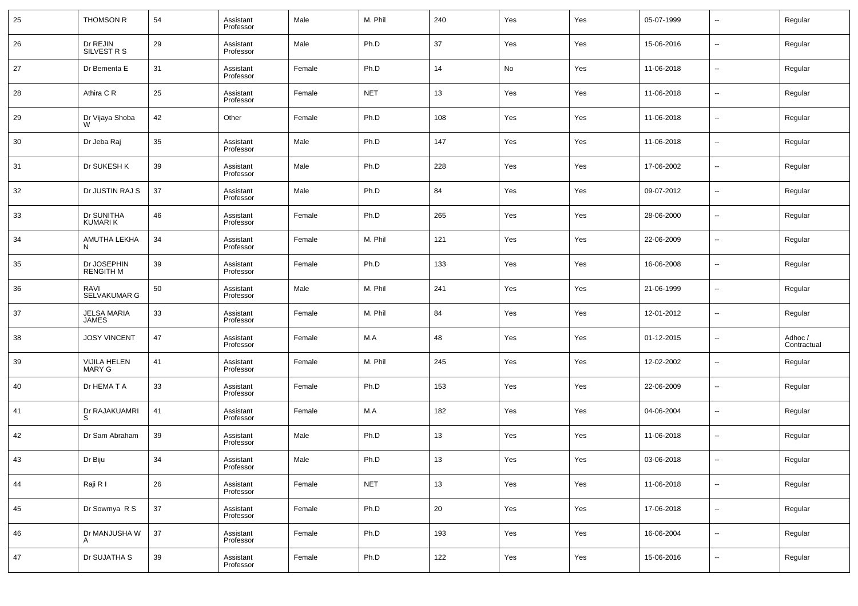| 25 | <b>THOMSON R</b>                   | 54 | Assistant<br>Professor | Male   | M. Phil    | 240 | Yes | Yes | 05-07-1999 | $\overline{\phantom{a}}$ | Regular                |
|----|------------------------------------|----|------------------------|--------|------------|-----|-----|-----|------------|--------------------------|------------------------|
| 26 | Dr REJIN<br>SILVEST R S            | 29 | Assistant<br>Professor | Male   | Ph.D       | 37  | Yes | Yes | 15-06-2016 | $\overline{\phantom{a}}$ | Regular                |
| 27 | Dr Bementa E                       | 31 | Assistant<br>Professor | Female | Ph.D       | 14  | No  | Yes | 11-06-2018 | $\overline{\phantom{a}}$ | Regular                |
| 28 | Athira C R                         | 25 | Assistant<br>Professor | Female | <b>NET</b> | 13  | Yes | Yes | 11-06-2018 | $\overline{\phantom{a}}$ | Regular                |
| 29 | Dr Vijaya Shoba<br>W               | 42 | Other                  | Female | Ph.D       | 108 | Yes | Yes | 11-06-2018 | $\overline{\phantom{a}}$ | Regular                |
| 30 | Dr Jeba Raj                        | 35 | Assistant<br>Professor | Male   | Ph.D       | 147 | Yes | Yes | 11-06-2018 | $\overline{\phantom{a}}$ | Regular                |
| 31 | Dr SUKESH K                        | 39 | Assistant<br>Professor | Male   | Ph.D       | 228 | Yes | Yes | 17-06-2002 | $\overline{\phantom{a}}$ | Regular                |
| 32 | Dr JUSTIN RAJ S                    | 37 | Assistant<br>Professor | Male   | Ph.D       | 84  | Yes | Yes | 09-07-2012 | $\overline{\phantom{a}}$ | Regular                |
| 33 | Dr SUNITHA<br><b>KUMARI K</b>      | 46 | Assistant<br>Professor | Female | Ph.D       | 265 | Yes | Yes | 28-06-2000 | $\overline{\phantom{a}}$ | Regular                |
| 34 | AMUTHA LEKHA<br>N                  | 34 | Assistant<br>Professor | Female | M. Phil    | 121 | Yes | Yes | 22-06-2009 | $\overline{\phantom{a}}$ | Regular                |
| 35 | Dr JOSEPHIN<br><b>RENGITH M</b>    | 39 | Assistant<br>Professor | Female | Ph.D       | 133 | Yes | Yes | 16-06-2008 | $\overline{\phantom{a}}$ | Regular                |
| 36 | RAVI<br>SELVAKUMAR G               | 50 | Assistant<br>Professor | Male   | M. Phil    | 241 | Yes | Yes | 21-06-1999 | $\overline{\phantom{a}}$ | Regular                |
| 37 | <b>JELSA MARIA</b><br><b>JAMES</b> | 33 | Assistant<br>Professor | Female | M. Phil    | 84  | Yes | Yes | 12-01-2012 | $\overline{\phantom{a}}$ | Regular                |
| 38 | <b>JOSY VINCENT</b>                | 47 | Assistant<br>Professor | Female | M.A        | 48  | Yes | Yes | 01-12-2015 | $\overline{\phantom{a}}$ | Adhoc /<br>Contractual |
| 39 | VIJILA HELEN<br><b>MARY G</b>      | 41 | Assistant<br>Professor | Female | M. Phil    | 245 | Yes | Yes | 12-02-2002 | $\overline{\phantom{a}}$ | Regular                |
| 40 | Dr HEMA T A                        | 33 | Assistant<br>Professor | Female | Ph.D       | 153 | Yes | Yes | 22-06-2009 | $\overline{\phantom{a}}$ | Regular                |
| 41 | Dr RAJAKUAMRI<br>S                 | 41 | Assistant<br>Professor | Female | M.A        | 182 | Yes | Yes | 04-06-2004 | $\overline{\phantom{a}}$ | Regular                |
| 42 | Dr Sam Abraham                     | 39 | Assistant<br>Professor | Male   | Ph.D       | 13  | Yes | Yes | 11-06-2018 | $\overline{\phantom{a}}$ | Regular                |
| 43 | Dr Biju                            | 34 | Assistant<br>Professor | Male   | Ph.D       | 13  | Yes | Yes | 03-06-2018 | $\overline{\phantom{a}}$ | Regular                |
| 44 | Raji R I                           | 26 | Assistant<br>Professor | Female | <b>NET</b> | 13  | Yes | Yes | 11-06-2018 | $\overline{\phantom{a}}$ | Regular                |
| 45 | Dr Sowmya R S                      | 37 | Assistant<br>Professor | Female | Ph.D       | 20  | Yes | Yes | 17-06-2018 | $\overline{\phantom{a}}$ | Regular                |
| 46 | Dr MANJUSHA W<br>А                 | 37 | Assistant<br>Professor | Female | Ph.D       | 193 | Yes | Yes | 16-06-2004 | $\overline{\phantom{a}}$ | Regular                |
| 47 | Dr SUJATHA S                       | 39 | Assistant<br>Professor | Female | Ph.D       | 122 | Yes | Yes | 15-06-2016 | $\overline{\phantom{a}}$ | Regular                |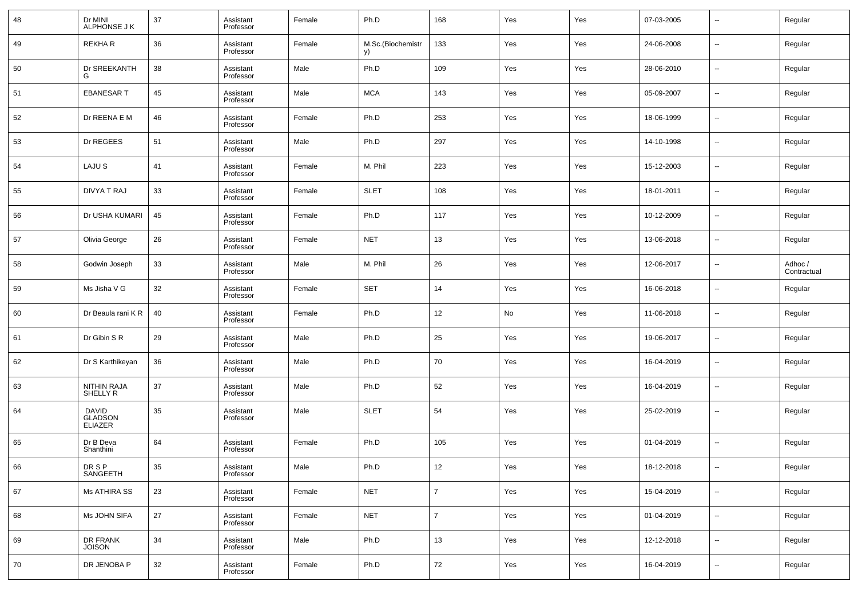| 48 | Dr MINI<br>ALPHONSE J K                   | 37 | Assistant<br>Professor | Female | Ph.D                    | 168            | Yes | Yes | 07-03-2005 | $\overline{\phantom{a}}$ | Regular                |
|----|-------------------------------------------|----|------------------------|--------|-------------------------|----------------|-----|-----|------------|--------------------------|------------------------|
| 49 | <b>REKHAR</b>                             | 36 | Assistant<br>Professor | Female | M.Sc.(Biochemistr<br>y) | 133            | Yes | Yes | 24-06-2008 | $\overline{\phantom{a}}$ | Regular                |
| 50 | Dr SREEKANTH<br>G                         | 38 | Assistant<br>Professor | Male   | Ph.D                    | 109            | Yes | Yes | 28-06-2010 | $\overline{\phantom{a}}$ | Regular                |
| 51 | <b>EBANESART</b>                          | 45 | Assistant<br>Professor | Male   | <b>MCA</b>              | 143            | Yes | Yes | 05-09-2007 | $\overline{\phantom{a}}$ | Regular                |
| 52 | Dr REENA E M                              | 46 | Assistant<br>Professor | Female | Ph.D                    | 253            | Yes | Yes | 18-06-1999 | $\overline{\phantom{a}}$ | Regular                |
| 53 | Dr REGEES                                 | 51 | Assistant<br>Professor | Male   | Ph.D                    | 297            | Yes | Yes | 14-10-1998 | $\overline{\phantom{a}}$ | Regular                |
| 54 | LAJU S                                    | 41 | Assistant<br>Professor | Female | M. Phil                 | 223            | Yes | Yes | 15-12-2003 | $\overline{\phantom{a}}$ | Regular                |
| 55 | <b>DIVYA T RAJ</b>                        | 33 | Assistant<br>Professor | Female | <b>SLET</b>             | 108            | Yes | Yes | 18-01-2011 | $\overline{\phantom{a}}$ | Regular                |
| 56 | Dr USHA KUMARI                            | 45 | Assistant<br>Professor | Female | Ph.D                    | 117            | Yes | Yes | 10-12-2009 | $\overline{\phantom{a}}$ | Regular                |
| 57 | Olivia George                             | 26 | Assistant<br>Professor | Female | <b>NET</b>              | 13             | Yes | Yes | 13-06-2018 | $\overline{\phantom{a}}$ | Regular                |
| 58 | Godwin Joseph                             | 33 | Assistant<br>Professor | Male   | M. Phil                 | 26             | Yes | Yes | 12-06-2017 | $\overline{\phantom{a}}$ | Adhoc /<br>Contractual |
| 59 | Ms Jisha V G                              | 32 | Assistant<br>Professor | Female | <b>SET</b>              | 14             | Yes | Yes | 16-06-2018 | $\overline{\phantom{a}}$ | Regular                |
| 60 | Dr Beaula rani K R                        | 40 | Assistant<br>Professor | Female | Ph.D                    | 12             | No  | Yes | 11-06-2018 | $\overline{\phantom{a}}$ | Regular                |
| 61 | Dr Gibin S R                              | 29 | Assistant<br>Professor | Male   | Ph.D                    | 25             | Yes | Yes | 19-06-2017 | $\overline{\phantom{a}}$ | Regular                |
| 62 | Dr S Karthikeyan                          | 36 | Assistant<br>Professor | Male   | Ph.D                    | 70             | Yes | Yes | 16-04-2019 | $\overline{\phantom{a}}$ | Regular                |
| 63 | NITHIN RAJA<br>SHELLY R                   | 37 | Assistant<br>Professor | Male   | Ph.D                    | 52             | Yes | Yes | 16-04-2019 | $\overline{\phantom{a}}$ | Regular                |
| 64 | DAVID<br><b>GLADSON</b><br><b>ELIAZER</b> | 35 | Assistant<br>Professor | Male   | <b>SLET</b>             | 54             | Yes | Yes | 25-02-2019 | $\overline{\phantom{a}}$ | Regular                |
| 65 | Dr B Deva<br>Shanthini                    | 64 | Assistant<br>Professor | Female | Ph.D                    | 105            | Yes | Yes | 01-04-2019 | $\overline{\phantom{a}}$ | Regular                |
| 66 | DR S P<br>SANGEETH                        | 35 | Assistant<br>Professor | Male   | Ph.D                    | 12             | Yes | Yes | 18-12-2018 |                          | Regular                |
| 67 | Ms ATHIRA SS                              | 23 | Assistant<br>Professor | Female | <b>NET</b>              | $\overline{7}$ | Yes | Yes | 15-04-2019 | $\overline{\phantom{a}}$ | Regular                |
| 68 | Ms JOHN SIFA                              | 27 | Assistant<br>Professor | Female | <b>NET</b>              | $\overline{7}$ | Yes | Yes | 01-04-2019 | $\overline{\phantom{a}}$ | Regular                |
| 69 | DR FRANK<br>JOISON                        | 34 | Assistant<br>Professor | Male   | Ph.D                    | 13             | Yes | Yes | 12-12-2018 | $\overline{\phantom{a}}$ | Regular                |
| 70 | DR JENOBA P                               | 32 | Assistant<br>Professor | Female | Ph.D                    | $72\,$         | Yes | Yes | 16-04-2019 | $\overline{\phantom{a}}$ | Regular                |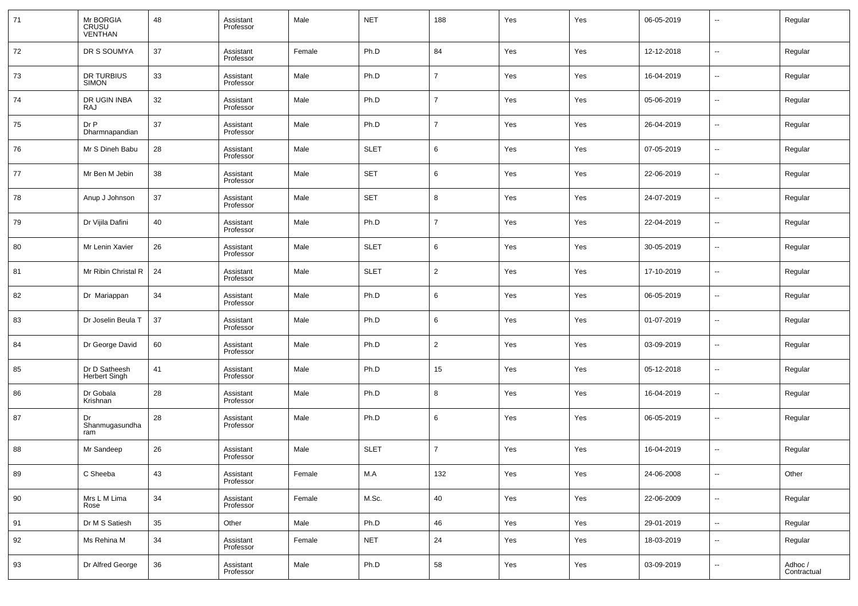| 71 | Mr BORGIA<br>CRUSU<br><b>VENTHAN</b> | 48 | Assistant<br>Professor | Male   | <b>NET</b>  | 188            | Yes | Yes | 06-05-2019 | --                       | Regular                |
|----|--------------------------------------|----|------------------------|--------|-------------|----------------|-----|-----|------------|--------------------------|------------------------|
| 72 | DR S SOUMYA                          | 37 | Assistant<br>Professor | Female | Ph.D        | 84             | Yes | Yes | 12-12-2018 | н.                       | Regular                |
| 73 | <b>DR TURBIUS</b><br><b>SIMON</b>    | 33 | Assistant<br>Professor | Male   | Ph.D        | $\overline{7}$ | Yes | Yes | 16-04-2019 | $\sim$                   | Regular                |
| 74 | DR UGIN INBA<br>RAJ                  | 32 | Assistant<br>Professor | Male   | Ph.D        | $\overline{7}$ | Yes | Yes | 05-06-2019 | н.                       | Regular                |
| 75 | Dr P<br>Dharmnapandian               | 37 | Assistant<br>Professor | Male   | Ph.D        | $\overline{7}$ | Yes | Yes | 26-04-2019 | $\sim$                   | Regular                |
| 76 | Mr S Dineh Babu                      | 28 | Assistant<br>Professor | Male   | <b>SLET</b> | 6              | Yes | Yes | 07-05-2019 | н.                       | Regular                |
| 77 | Mr Ben M Jebin                       | 38 | Assistant<br>Professor | Male   | <b>SET</b>  | 6              | Yes | Yes | 22-06-2019 | $\sim$                   | Regular                |
| 78 | Anup J Johnson                       | 37 | Assistant<br>Professor | Male   | <b>SET</b>  | 8              | Yes | Yes | 24-07-2019 | н.                       | Regular                |
| 79 | Dr Vijila Dafini                     | 40 | Assistant<br>Professor | Male   | Ph.D        | $\overline{7}$ | Yes | Yes | 22-04-2019 | $\sim$                   | Regular                |
| 80 | Mr Lenin Xavier                      | 26 | Assistant<br>Professor | Male   | <b>SLET</b> | 6              | Yes | Yes | 30-05-2019 | н.                       | Regular                |
| 81 | Mr Ribin Christal R                  | 24 | Assistant<br>Professor | Male   | <b>SLET</b> | $\overline{2}$ | Yes | Yes | 17-10-2019 | $\sim$                   | Regular                |
| 82 | Dr Mariappan                         | 34 | Assistant<br>Professor | Male   | Ph.D        | 6              | Yes | Yes | 06-05-2019 | н.                       | Regular                |
| 83 | Dr Joselin Beula T                   | 37 | Assistant<br>Professor | Male   | Ph.D        | 6              | Yes | Yes | 01-07-2019 | $\sim$                   | Regular                |
| 84 | Dr George David                      | 60 | Assistant<br>Professor | Male   | Ph.D        | $\overline{2}$ | Yes | Yes | 03-09-2019 | ш,                       | Regular                |
| 85 | Dr D Satheesh<br>Herbert Singh       | 41 | Assistant<br>Professor | Male   | Ph.D        | 15             | Yes | Yes | 05-12-2018 | н.                       | Regular                |
| 86 | Dr Gobala<br>Krishnan                | 28 | Assistant<br>Professor | Male   | Ph.D        | 8              | Yes | Yes | 16-04-2019 | ш,                       | Regular                |
| 87 | Dr<br>Shanmugasundha<br>ram          | 28 | Assistant<br>Professor | Male   | Ph.D        | 6              | Yes | Yes | 06-05-2019 | ш,                       | Regular                |
| 88 | Mr Sandeep                           | 26 | Assistant<br>Professor | Male   | <b>SLET</b> | $\overline{7}$ | Yes | Yes | 16-04-2019 | --                       | Regular                |
| 89 | C Sheeba                             | 43 | Assistant<br>Professor | Female | M.A         | 132            | Yes | Yes | 24-06-2008 | $\sim$                   | Other                  |
| 90 | Mrs L M Lima<br>Rose                 | 34 | Assistant<br>Professor | Female | M.Sc.       | 40             | Yes | Yes | 22-06-2009 | $\overline{\phantom{a}}$ | Regular                |
| 91 | Dr M S Satiesh                       | 35 | Other                  | Male   | Ph.D        | 46             | Yes | Yes | 29-01-2019 | ٠.                       | Regular                |
| 92 | Ms Rehina M                          | 34 | Assistant<br>Professor | Female | <b>NET</b>  | 24             | Yes | Yes | 18-03-2019 | $\overline{\phantom{a}}$ | Regular                |
| 93 | Dr Alfred George                     | 36 | Assistant<br>Professor | Male   | Ph.D        | 58             | Yes | Yes | 03-09-2019 | $\sim$                   | Adhoc /<br>Contractual |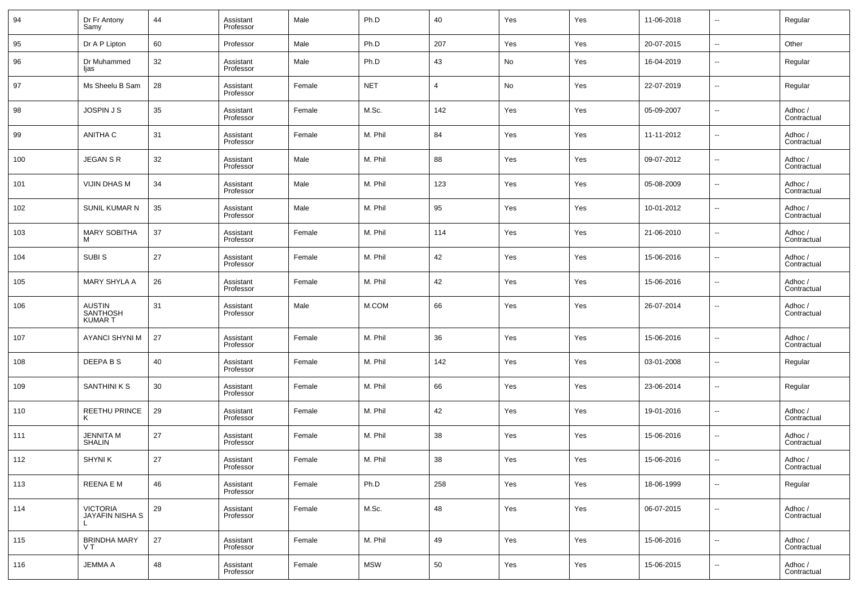| 94  | Dr Fr Antony<br>Samy                | 44 | Assistant<br>Professor | Male   | Ph.D       | 40             | Yes | Yes | 11-06-2018 | --                       | Regular                |
|-----|-------------------------------------|----|------------------------|--------|------------|----------------|-----|-----|------------|--------------------------|------------------------|
| 95  | Dr A P Lipton                       | 60 | Professor              | Male   | Ph.D       | 207            | Yes | Yes | 20-07-2015 | ۰.                       | Other                  |
| 96  | Dr Muhammed<br>ljas                 | 32 | Assistant<br>Professor | Male   | Ph.D       | 43             | No  | Yes | 16-04-2019 | --                       | Regular                |
| 97  | Ms Sheelu B Sam                     | 28 | Assistant<br>Professor | Female | <b>NET</b> | $\overline{4}$ | No  | Yes | 22-07-2019 | --                       | Regular                |
| 98  | <b>JOSPIN J S</b>                   | 35 | Assistant<br>Professor | Female | M.Sc.      | 142            | Yes | Yes | 05-09-2007 | --                       | Adhoc /<br>Contractual |
| 99  | <b>ANITHA C</b>                     | 31 | Assistant<br>Professor | Female | M. Phil    | 84             | Yes | Yes | 11-11-2012 | --                       | Adhoc /<br>Contractual |
| 100 | <b>JEGAN S R</b>                    | 32 | Assistant<br>Professor | Male   | M. Phil    | 88             | Yes | Yes | 09-07-2012 | --                       | Adhoc /<br>Contractual |
| 101 | <b>VIJIN DHAS M</b>                 | 34 | Assistant<br>Professor | Male   | M. Phil    | 123            | Yes | Yes | 05-08-2009 | --                       | Adhoc /<br>Contractual |
| 102 | SUNIL KUMAR N                       | 35 | Assistant<br>Professor | Male   | M. Phil    | 95             | Yes | Yes | 10-01-2012 | --                       | Adhoc /<br>Contractual |
| 103 | <b>MARY SOBITHA</b><br>м            | 37 | Assistant<br>Professor | Female | M. Phil    | 114            | Yes | Yes | 21-06-2010 | --                       | Adhoc /<br>Contractual |
| 104 | SUBI <sub>S</sub>                   | 27 | Assistant<br>Professor | Female | M. Phil    | 42             | Yes | Yes | 15-06-2016 | --                       | Adhoc /<br>Contractual |
| 105 | MARY SHYLA A                        | 26 | Assistant<br>Professor | Female | M. Phil    | 42             | Yes | Yes | 15-06-2016 | --                       | Adhoc /<br>Contractual |
| 106 | AUSTIN<br>SANTHOSH<br><b>KUMART</b> | 31 | Assistant<br>Professor | Male   | M.COM      | 66             | Yes | Yes | 26-07-2014 | --                       | Adhoc /<br>Contractual |
| 107 | AYANCI SHYNI M                      | 27 | Assistant<br>Professor | Female | M. Phil    | 36             | Yes | Yes | 15-06-2016 | --                       | Adhoc /<br>Contractual |
| 108 | DEEPA B S                           | 40 | Assistant<br>Professor | Female | M. Phil    | 142            | Yes | Yes | 03-01-2008 | --                       | Regular                |
| 109 | SANTHINI K S                        | 30 | Assistant<br>Professor | Female | M. Phil    | 66             | Yes | Yes | 23-06-2014 | --                       | Regular                |
| 110 | <b>REETHU PRINCE</b><br>κ           | 29 | Assistant<br>Professor | Female | M. Phil    | 42             | Yes | Yes | 19-01-2016 | --                       | Adhoc /<br>Contractual |
| 111 | JENNITA M<br><b>SHALIN</b>          | 27 | Assistant<br>Professor | Female | M. Phil    | 38             | Yes | Yes | 15-06-2016 | $\overline{\phantom{a}}$ | Adhoc /<br>Contractual |
| 112 | <b>SHYNIK</b>                       | 27 | Assistant<br>Professor | Female | M. Phil    | 38             | Yes | Yes | 15-06-2016 | --                       | Adhoc /<br>Contractual |
| 113 | REENA E M                           | 46 | Assistant<br>Professor | Female | Ph.D       | 258            | Yes | Yes | 18-06-1999 | $\sim$                   | Regular                |
| 114 | <b>VICTORIA</b><br>JAYAFIN NISHA S  | 29 | Assistant<br>Professor | Female | M.Sc.      | 48             | Yes | Yes | 06-07-2015 | $\sim$                   | Adhoc /<br>Contractual |
| 115 | <b>BRINDHA MARY</b><br>V T          | 27 | Assistant<br>Professor | Female | M. Phil    | 49             | Yes | Yes | 15-06-2016 | $\sim$                   | Adhoc /<br>Contractual |
| 116 | <b>JEMMA A</b>                      | 48 | Assistant<br>Professor | Female | <b>MSW</b> | 50             | Yes | Yes | 15-06-2015 | Ξ.                       | Adhoc /<br>Contractual |